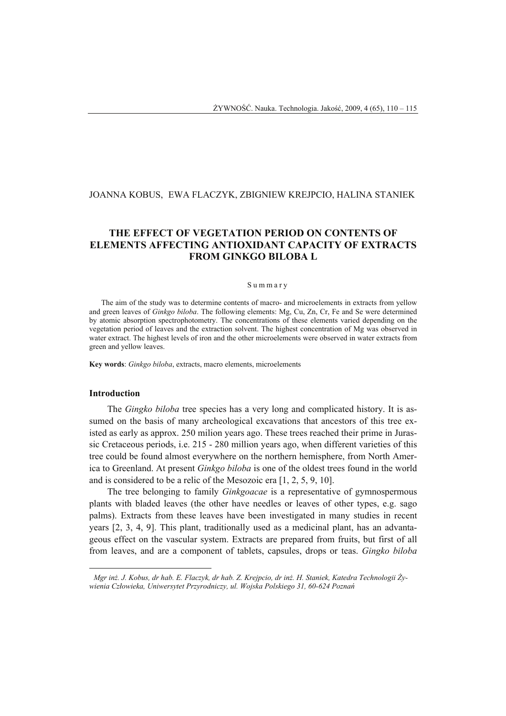# JOANNA KOBUS, EWA FLACZYK, ZBIGNIEW KREJPCIO, HALINA STANIEK

## **THE EFFECT OF VEGETATION PERIOD ON CONTENTS OF ELEMENTS AFFECTING ANTIOXIDANT CAPACITY OF EXTRACTS FROM GINKGO BILOBA L**

### Summary

The aim of the study was to determine contents of macro- and microelements in extracts from yellow and green leaves of *Ginkgo biloba*. The following elements: Mg, Cu, Zn, Cr, Fe and Se were determined by atomic absorption spectrophotometry. The concentrations of these elements varied depending on the vegetation period of leaves and the extraction solvent. The highest concentration of Mg was observed in water extract. The highest levels of iron and the other microelements were observed in water extracts from green and yellow leaves.

**Key words**: *Ginkgo biloba*, extracts, macro elements, microelements

### **Introduction**

 $\overline{a}$ 

The *Gingko biloba* tree species has a very long and complicated history. It is assumed on the basis of many archeological excavations that ancestors of this tree existed as early as approx. 250 milion years ago. These trees reached their prime in Jurassic Cretaceous periods, i.e. 215 - 280 million years ago, when different varieties of this tree could be found almost everywhere on the northern hemisphere, from North America to Greenland. At present *Ginkgo biloba* is one of the oldest trees found in the world and is considered to be a relic of the Mesozoic era [1, 2, 5, 9, 10].

The tree belonging to family *Ginkgoacae* is a representative of gymnospermous plants with bladed leaves (the other have needles or leaves of other types, e.g. sago palms). Extracts from these leaves have been investigated in many studies in recent years [2, 3, 4, 9]. This plant, traditionally used as a medicinal plant, has an advantageous effect on the vascular system. Extracts are prepared from fruits, but first of all from leaves, and are a component of tablets, capsules, drops or teas. *Gingko biloba*

<sup>1</sup> *Mgr inż. J. Kobus, dr hab. E. Flaczyk, dr hab. Z. Krejpcio, dr inż. H. Staniek, Katedra Technologii Żywienia Człowieka, Uniwersytet Przyrodniczy, ul. Wojska Polskiego 31, 60-624 Poznań*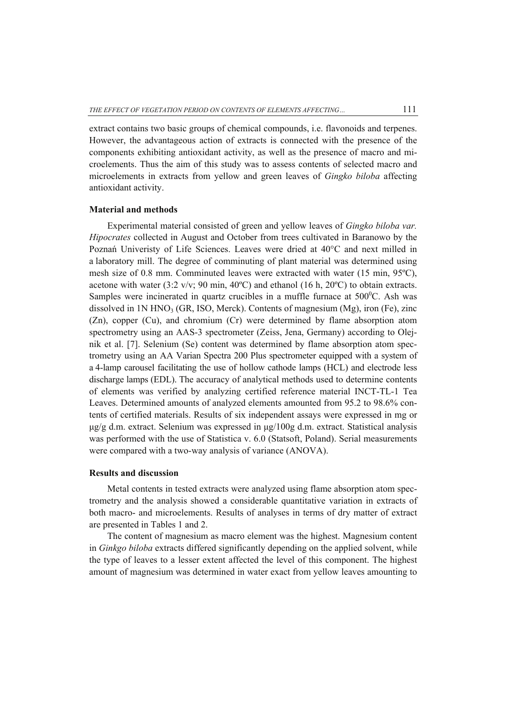extract contains two basic groups of chemical compounds, i.e. flavonoids and terpenes. However, the advantageous action of extracts is connected with the presence of the components exhibiting antioxidant activity, as well as the presence of macro and microelements. Thus the aim of this study was to assess contents of selected macro and microelements in extracts from yellow and green leaves of *Gingko biloba* affecting antioxidant activity.

## **Material and methods**

Experimental material consisted of green and yellow leaves of *Gingko biloba var. Hipocrates* collected in August and October from trees cultivated in Baranowo by the Poznań Univeristy of Life Sciences. Leaves were dried at 40°C and next milled in a laboratory mill. The degree of comminuting of plant material was determined using mesh size of 0.8 mm. Comminuted leaves were extracted with water (15 min, 95ºC), acetone with water (3:2 v/v; 90 min, 40 $^{\circ}$ C) and ethanol (16 h, 20 $^{\circ}$ C) to obtain extracts. Samples were incinerated in quartz crucibles in a muffle furnace at  $500^{\circ}$ C. Ash was dissolved in  $1N HNO<sub>3</sub>$  (GR, ISO, Merck). Contents of magnesium (Mg), iron (Fe), zinc (Zn), copper (Cu), and chromium (Cr) were determined by flame absorption atom spectrometry using an AAS-3 spectrometer (Zeiss, Jena, Germany) according to Olejnik et al. [7]. Selenium (Se) content was determined by flame absorption atom spectrometry using an AA Varian Spectra 200 Plus spectrometer equipped with a system of a 4-lamp carousel facilitating the use of hollow cathode lamps (HCL) and electrode less discharge lamps (EDL). The accuracy of analytical methods used to determine contents of elements was verified by analyzing certified reference material INCT-TL-1 Tea Leaves. Determined amounts of analyzed elements amounted from 95.2 to 98.6% contents of certified materials. Results of six independent assays were expressed in mg or μg/g d.m. extract. Selenium was expressed in μg/100g d.m. extract. Statistical analysis was performed with the use of Statistica v. 6.0 (Statsoft, Poland). Serial measurements were compared with a two-way analysis of variance (ANOVA).

## **Results and discussion**

Metal contents in tested extracts were analyzed using flame absorption atom spectrometry and the analysis showed a considerable quantitative variation in extracts of both macro- and microelements. Results of analyses in terms of dry matter of extract are presented in Tables 1 and 2.

The content of magnesium as macro element was the highest. Magnesium content in *Ginkgo biloba* extracts differed significantly depending on the applied solvent, while the type of leaves to a lesser extent affected the level of this component. The highest amount of magnesium was determined in water exact from yellow leaves amounting to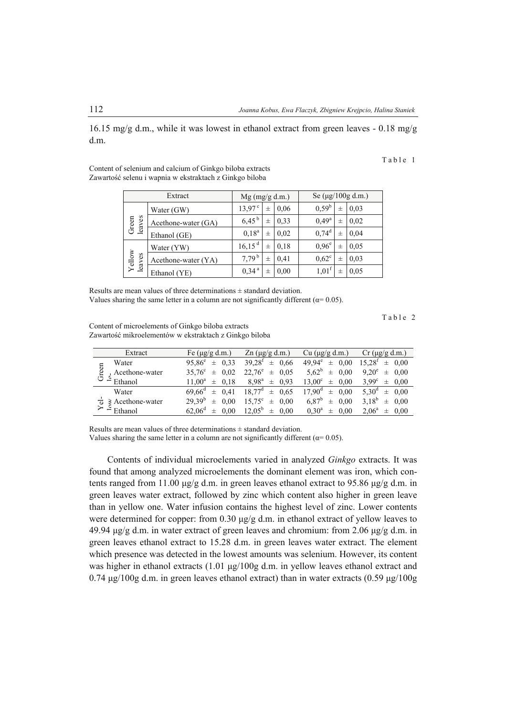16.15 mg/g d.m., while it was lowest in ethanol extract from green leaves  $-0.18$  mg/g d.m.

#### Table 1

Content of selenium and calcium of Ginkgo biloba extracts Zawartość selenu i wapnia w ekstraktach z Ginkgo biloba

| Extract          |                     | $Mg$ (mg/g d.m.)    |          |      | Se $(\mu g/100g \, d.m.)$ |   |      |
|------------------|---------------------|---------------------|----------|------|---------------------------|---|------|
| leaves<br>Green  | Water (GW)          | $13,97^{\circ}$     | $_{\pm}$ | 0.06 | 0.59 <sup>b</sup>         | 士 | 0.03 |
|                  | Acethone-water (GA) | $6,45^{b}$          | 士        | 0.33 | $0,49^a$                  | 士 | 0.02 |
|                  | Ethanol (GE)        | $0,18^a$            | $_{\pm}$ | 0.02 | $0,74^d$                  | 士 | 0,04 |
| Yellow<br>leaves | Water (YW)          | 16, 15 <sup>d</sup> | $_{\pm}$ | 0.18 | 0.96 <sup>e</sup>         | 士 | 0.05 |
|                  | Acethone-water (YA) | $7,79^{b}$          | 士        | 0.41 | $0.62^{\circ}$            | 士 | 0.03 |
|                  | Ethanol (YE)        | 0,34 <sup>a</sup>   | 士        | 0.00 | $1,01^{\dagger}$          | 士 | 0.05 |

Results are mean values of three determinations  $\pm$  standard deviation. Values sharing the same letter in a column are not significantly different ( $\alpha$ = 0.05).

Table 2

Content of microelements of Ginkgo biloba extracts Zawartość mikroelementów w ekstraktach z Ginkgo biloba

| Extract                      | Fe $(\mu g/g \, d.m.)$           | $Zn$ ( $\mu$ g/g d.m.)    | Cu (µg/g d.m.)                         | Cr $(\mu$ g/g d.m.)          |  |
|------------------------------|----------------------------------|---------------------------|----------------------------------------|------------------------------|--|
| Water                        | 0.33<br>$95.86^e$<br>$\pm$       | $39,28^{f}$<br>$\pm$ 0.66 | $49.94^e$<br>$\pm$ 0.00                | $15.28^f \pm 0.00$           |  |
| Green<br>Acethone-water      | 0.02<br>$35.76^{\circ}$<br>$\pm$ | $22,76^e$<br>$\pm$ 0.05   | $5.62^b$<br>$\pm$ 0.00                 | $9.20^e \pm 0.00$            |  |
| Ethanol                      | $\pm$ 0.18<br>$11.00^a$          | $8.98^a \pm 0.93$         | 13.00 <sup>c</sup><br>0.00<br>$_{\pm}$ | $3.99^{\circ} \pm 0.00$      |  |
| Water                        | $\pm$ 0.41<br>$69.66^{\circ}$    | $18,77^d \pm 0,65$        | $17.90^{\rm d}$<br>$\pm$ 0.00          | $5.30^d \pm 0.00$            |  |
| <b>B</b> Acethone-water<br>ಕ | $29.39^{b}$<br>0.00<br>士         | $15,75^{\circ} \pm 0,00$  | $6,87^b$<br>$\pm$ 0.00                 | $3,18^{\rm b}$<br>$\pm$ 0.00 |  |
| $\sum \leq$ Ethanol          | $\pm$ 0.00<br>$62.06^{\circ}$    | $12.05^b \pm 0.00$        | $0.30^{\rm a}$<br>0.00<br>$\pm$        | $2.06^a \pm$<br>0.00         |  |

Results are mean values of three determinations  $\pm$  standard deviation.

Values sharing the same letter in a column are not significantly different ( $\alpha$ = 0.05).

Contents of individual microelements varied in analyzed *Ginkgo* extracts. It was found that among analyzed microelements the dominant element was iron, which contents ranged from 11.00 μg/g d.m. in green leaves ethanol extract to 95.86 μg/g d.m. in green leaves water extract, followed by zinc which content also higher in green leave than in yellow one. Water infusion contains the highest level of zinc. Lower contents were determined for copper: from  $0.30 \mu g/g$  d.m. in ethanol extract of yellow leaves to 49.94 μg/g d.m. in water extract of green leaves and chromium: from 2.06 μg/g d.m. in green leaves ethanol extract to 15.28 d.m. in green leaves water extract. The element which presence was detected in the lowest amounts was selenium. However, its content was higher in ethanol extracts (1.01 μg/100g d.m. in yellow leaves ethanol extract and 0.74 μg/100g d.m. in green leaves ethanol extract) than in water extracts (0.59 μg/100g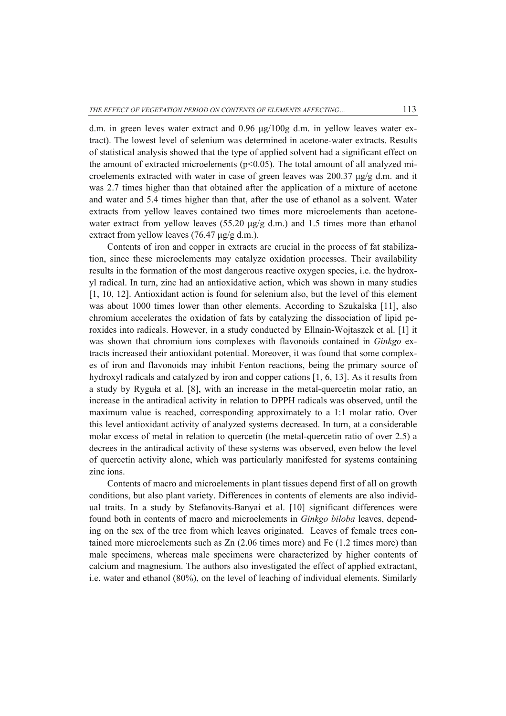d.m. in green leves water extract and 0.96 μg/100g d.m. in yellow leaves water extract). The lowest level of selenium was determined in acetone-water extracts. Results of statistical analysis showed that the type of applied solvent had a significant effect on the amount of extracted microelements ( $p<0.05$ ). The total amount of all analyzed microelements extracted with water in case of green leaves was 200.37  $\mu$ g/g d.m. and it was 2.7 times higher than that obtained after the application of a mixture of acetone and water and 5.4 times higher than that, after the use of ethanol as a solvent. Water extracts from yellow leaves contained two times more microelements than acetonewater extract from yellow leaves (55.20  $\mu$ g/g d.m.) and 1.5 times more than ethanol extract from yellow leaves (76.47  $\mu$ g/g d.m.).

Contents of iron and copper in extracts are crucial in the process of fat stabilization, since these microelements may catalyze oxidation processes. Their availability results in the formation of the most dangerous reactive oxygen species, i.e. the hydroxyl radical. In turn, zinc had an antioxidative action, which was shown in many studies [1, 10, 12]. Antioxidant action is found for selenium also, but the level of this element was about 1000 times lower than other elements. According to Szukalska [11], also chromium accelerates the oxidation of fats by catalyzing the dissociation of lipid peroxides into radicals. However, in a study conducted by Ellnain-Wojtaszek et al. [1] it was shown that chromium ions complexes with flavonoids contained in *Ginkgo* extracts increased their antioxidant potential. Moreover, it was found that some complexes of iron and flavonoids may inhibit Fenton reactions, being the primary source of hydroxyl radicals and catalyzed by iron and copper cations [1, 6, 13]. As it results from a study by Ryguła et al. [8], with an increase in the metal-quercetin molar ratio, an increase in the antiradical activity in relation to DPPH radicals was observed, until the maximum value is reached, corresponding approximately to a 1:1 molar ratio. Over this level antioxidant activity of analyzed systems decreased. In turn, at a considerable molar excess of metal in relation to quercetin (the metal-quercetin ratio of over 2.5) a decrees in the antiradical activity of these systems was observed, even below the level of quercetin activity alone, which was particularly manifested for systems containing zinc ions.

Contents of macro and microelements in plant tissues depend first of all on growth conditions, but also plant variety. Differences in contents of elements are also individual traits. In a study by Stefanovits-Banyai et al. [10] significant differences were found both in contents of macro and microelements in *Ginkgo biloba* leaves, depending on the sex of the tree from which leaves originated. Leaves of female trees contained more microelements such as Zn (2.06 times more) and Fe (1.2 times more) than male specimens, whereas male specimens were characterized by higher contents of calcium and magnesium. The authors also investigated the effect of applied extractant, i.e. water and ethanol (80%), on the level of leaching of individual elements. Similarly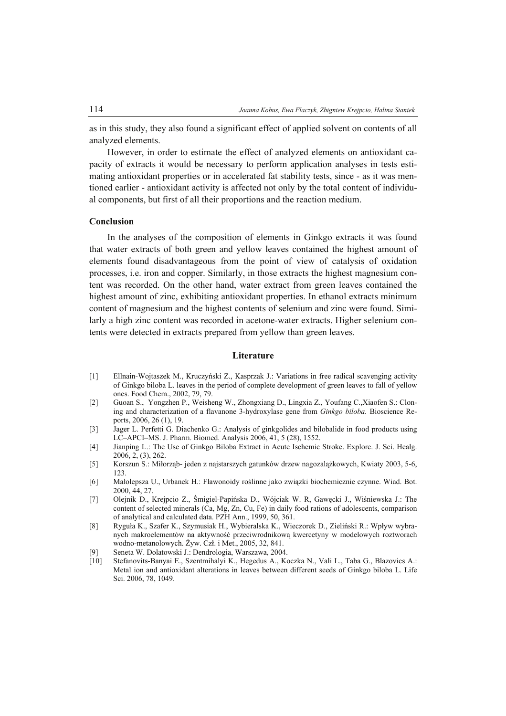as in this study, they also found a significant effect of applied solvent on contents of all analyzed elements.

However, in order to estimate the effect of analyzed elements on antioxidant capacity of extracts it would be necessary to perform application analyses in tests estimating antioxidant properties or in accelerated fat stability tests, since - as it was mentioned earlier - antioxidant activity is affected not only by the total content of individual components, but first of all their proportions and the reaction medium.

## **Conclusion**

In the analyses of the composition of elements in Ginkgo extracts it was found that water extracts of both green and yellow leaves contained the highest amount of elements found disadvantageous from the point of view of catalysis of oxidation processes, i.e. iron and copper. Similarly, in those extracts the highest magnesium content was recorded. On the other hand, water extract from green leaves contained the highest amount of zinc, exhibiting antioxidant properties. In ethanol extracts minimum content of magnesium and the highest contents of selenium and zinc were found. Similarly a high zinc content was recorded in acetone-water extracts. Higher selenium contents were detected in extracts prepared from yellow than green leaves.

## **Literature**

- [1] Ellnain-Wojtaszek M., Kruczyński Z., Kasprzak J.: Variations in free radical scavenging activity of Ginkgo biloba L. leaves in the period of complete development of green leaves to fall of yellow ones. Food Chem., 2002, 79, 79.
- [2] Guoan S., Yongzhen P., Weisheng W., Zhongxiang D., Lingxia Z., Youfang C.,Xiaofen S.: Cloning and characterization of a flavanone 3-hydroxylase gene from *Ginkgo biloba.* Bioscience Reports, 2006, 26 (1), 19.
- [3] Jager L. Perfetti G. Diachenko G.: Analysis of ginkgolides and bilobalide in food products using LC–APCI–MS. J. Pharm. Biomed. Analysis 2006, 41, 5 (28), 1552.
- [4] Jianping L.: The Use of Ginkgo Biloba Extract in Acute Ischemic Stroke. Explore. J. Sci. Healg. 2006, 2, (3), 262.
- [5] Korszun S.: Miłorząb- jeden z najstarszych gatunków drzew nagozalążkowych, Kwiaty 2003, 5-6, 123.
- [6] Małolepsza U., Urbanek H.: Flawonoidy roślinne jako związki biochemicznie czynne. Wiad. Bot. 2000, 44, 27.
- [7] Olejnik D., Krejpcio Z., Śmigiel-Papińska D., Wójciak W. R, Gawęcki J., Wiśniewska J.: The content of selected minerals (Ca, Mg, Zn, Cu, Fe) in daily food rations of adolescents, comparison of analytical and calculated data. PZH Ann., 1999, 50, 361.
- [8] Ryguła K., Szafer K., Szymusiak H., Wybieralska K., Wieczorek D., Zieliński R.: Wpływ wybranych makroelementów na aktywność przeciwrodnikową kwercetyny w modelowych roztworach wodno-metanolowych. Żyw. Czł. i Met., 2005, 32, 841.
- [9] Seneta W. Dolatowski J.: Dendrologia, Warszawa, 2004.
- [10] Stefanovits-Banyai E., Szentmihalyi K., Hegedus A., Koczka N., Vali L., Taba G., Blazovics A.: Metal ion and antioxidant alterations in leaves between different seeds of Ginkgo biloba L. Life Sci. 2006, 78, 1049.